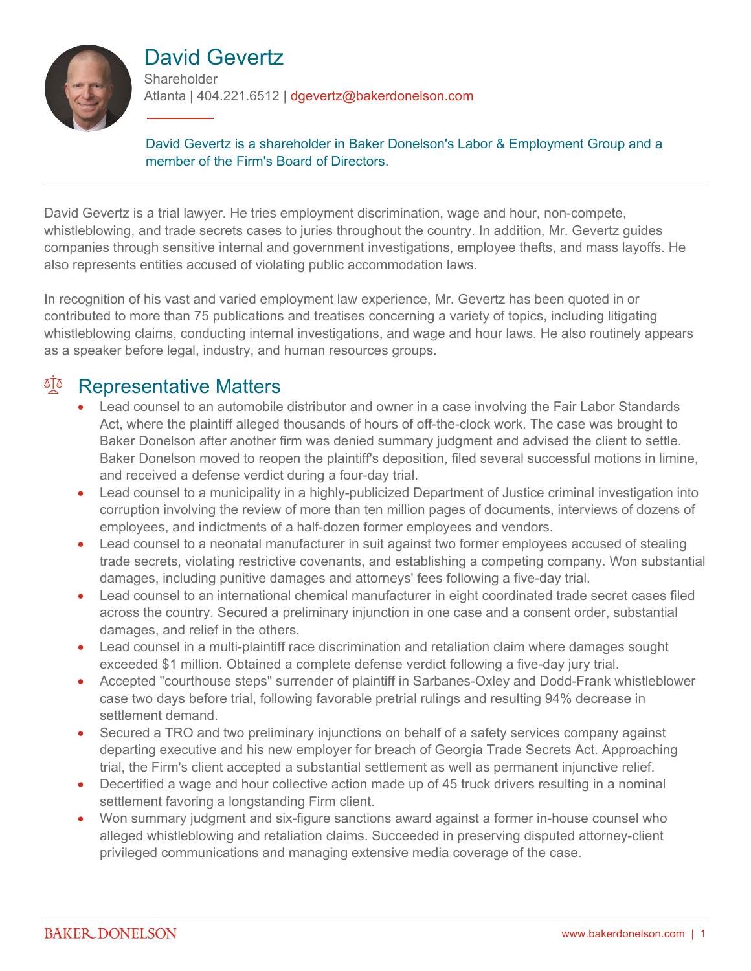

# David Gevertz

**Shareholder** Atlanta | 404.221.6512 | dgevertz@bakerdonelson.com

David Gevertz is a shareholder in Baker Donelson's Labor & Employment Group and a member of the Firm's Board of Directors.

David Gevertz is a trial lawyer. He tries employment discrimination, wage and hour, non-compete, whistleblowing, and trade secrets cases to juries throughout the country. In addition, Mr. Gevertz guides companies through sensitive internal and government investigations, employee thefts, and mass layoffs. He also represents entities accused of violating public accommodation laws.

In recognition of his vast and varied employment law experience, Mr. Gevertz has been quoted in or contributed to more than 75 publications and treatises concerning a variety of topics, including litigating whistleblowing claims, conducting internal investigations, and wage and hour laws. He also routinely appears as a speaker before legal, industry, and human resources groups.

### <sup>en</sup> Representative Matters

- Lead counsel to an automobile distributor and owner in a case involving the Fair Labor Standards Act, where the plaintiff alleged thousands of hours of off-the-clock work. The case was brought to Baker Donelson after another firm was denied summary judgment and advised the client to settle. Baker Donelson moved to reopen the plaintiff's deposition, filed several successful motions in limine, and received a defense verdict during a four-day trial.
- Lead counsel to a municipality in a highly-publicized Department of Justice criminal investigation into corruption involving the review of more than ten million pages of documents, interviews of dozens of employees, and indictments of a half-dozen former employees and vendors.
- Lead counsel to a neonatal manufacturer in suit against two former employees accused of stealing trade secrets, violating restrictive covenants, and establishing a competing company. Won substantial damages, including punitive damages and attorneys' fees following a five-day trial.
- Lead counsel to an international chemical manufacturer in eight coordinated trade secret cases filed across the country. Secured a preliminary injunction in one case and a consent order, substantial damages, and relief in the others.
- Lead counsel in a multi-plaintiff race discrimination and retaliation claim where damages sought exceeded \$1 million. Obtained a complete defense verdict following a five-day jury trial.
- Accepted "courthouse steps" surrender of plaintiff in Sarbanes-Oxley and Dodd-Frank whistleblower case two days before trial, following favorable pretrial rulings and resulting 94% decrease in settlement demand.
- Secured a TRO and two preliminary injunctions on behalf of a safety services company against departing executive and his new employer for breach of Georgia Trade Secrets Act. Approaching trial, the Firm's client accepted a substantial settlement as well as permanent injunctive relief.
- Decertified a wage and hour collective action made up of 45 truck drivers resulting in a nominal settlement favoring a longstanding Firm client.
- Won summary judgment and six-figure sanctions award against a former in-house counsel who alleged whistleblowing and retaliation claims. Succeeded in preserving disputed attorney-client privileged communications and managing extensive media coverage of the case.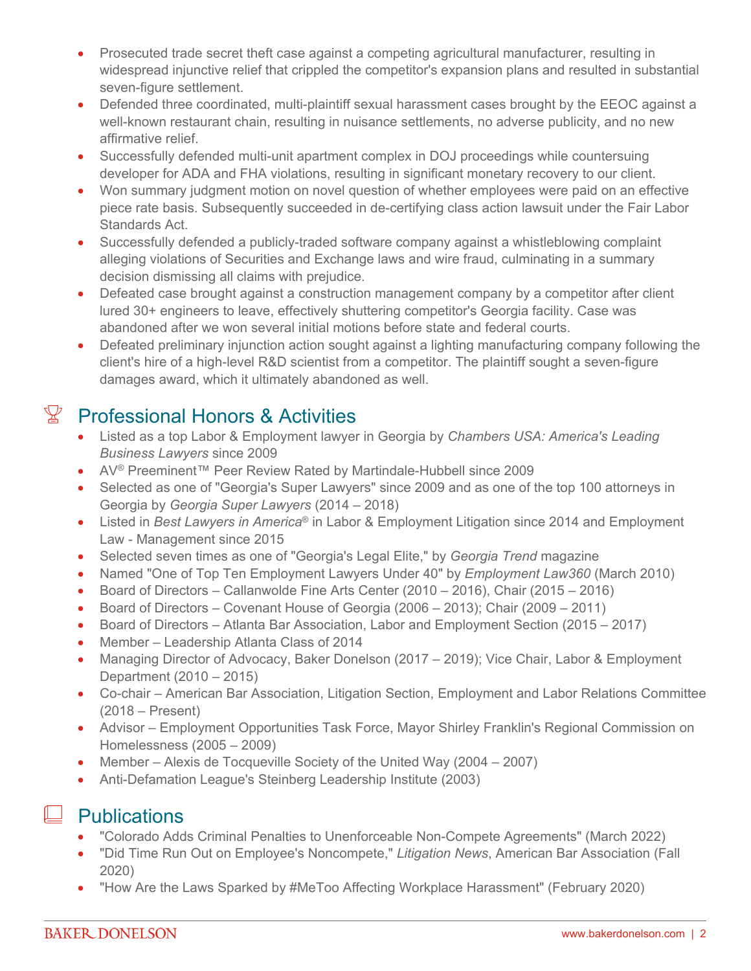- Prosecuted trade secret theft case against a competing agricultural manufacturer, resulting in widespread injunctive relief that crippled the competitor's expansion plans and resulted in substantial seven-figure settlement.
- Defended three coordinated, multi-plaintiff sexual harassment cases brought by the EEOC against a well-known restaurant chain, resulting in nuisance settlements, no adverse publicity, and no new affirmative relief.
- Successfully defended multi-unit apartment complex in DOJ proceedings while countersuing developer for ADA and FHA violations, resulting in significant monetary recovery to our client.
- Won summary judgment motion on novel question of whether employees were paid on an effective piece rate basis. Subsequently succeeded in de-certifying class action lawsuit under the Fair Labor Standards Act.
- Successfully defended a publicly-traded software company against a whistleblowing complaint alleging violations of Securities and Exchange laws and wire fraud, culminating in a summary decision dismissing all claims with prejudice.
- Defeated case brought against a construction management company by a competitor after client lured 30+ engineers to leave, effectively shuttering competitor's Georgia facility. Case was abandoned after we won several initial motions before state and federal courts.
- Defeated preliminary injunction action sought against a lighting manufacturing company following the client's hire of a high-level R&D scientist from a competitor. The plaintiff sought a seven-figure damages award, which it ultimately abandoned as well.

# $\mathbb{X}$  Professional Honors & Activities

- Listed as a top Labor & Employment lawyer in Georgia by *Chambers USA: America's Leading Business Lawyers* since 2009
- AV® Preeminent™ Peer Review Rated by Martindale-Hubbell since 2009
- Selected as one of "Georgia's Super Lawyers" since 2009 and as one of the top 100 attorneys in Georgia by *Georgia Super Lawyers* (2014 – 2018)
- Listed in *Best Lawyers in America*® in Labor & Employment Litigation since 2014 and Employment Law - Management since 2015
- Selected seven times as one of "Georgia's Legal Elite," by *Georgia Trend* magazine
- Named "One of Top Ten Employment Lawyers Under 40" by *Employment Law360* (March 2010)
- Board of Directors Callanwolde Fine Arts Center (2010 2016), Chair (2015 2016)
- Board of Directors Covenant House of Georgia (2006 2013); Chair (2009 2011)
- Board of Directors Atlanta Bar Association, Labor and Employment Section (2015 2017)
- Member Leadership Atlanta Class of 2014
- Managing Director of Advocacy, Baker Donelson (2017 2019); Vice Chair, Labor & Employment Department (2010 – 2015)
- Co-chair American Bar Association, Litigation Section, Employment and Labor Relations Committee (2018 – Present)
- Advisor Employment Opportunities Task Force, Mayor Shirley Franklin's Regional Commission on Homelessness (2005 – 2009)
- Member Alexis de Tocqueville Society of the United Way (2004 2007)
- Anti-Defamation League's Steinberg Leadership Institute (2003)

## $\Box$  Publications

- "Colorado Adds Criminal Penalties to Unenforceable Non-Compete Agreements" (March 2022)
- "Did Time Run Out on Employee's Noncompete," *Litigation News*, American Bar Association (Fall 2020)
- "How Are the Laws Sparked by #MeToo Affecting Workplace Harassment" (February 2020)